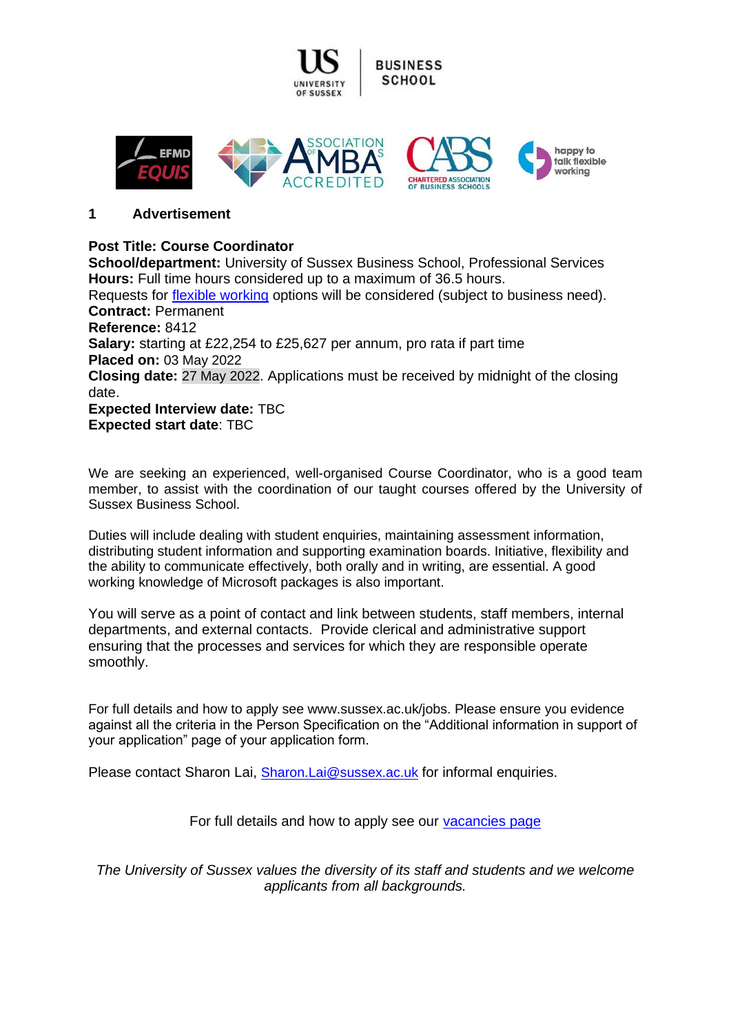

#### **1 Advertisement**

# **Post Title: Course Coordinator**

**School/department:** University of Sussex Business School, Professional Services **Hours:** Full time hours considered up to a maximum of 36.5 hours. Requests for [flexible working](http://www.sussex.ac.uk/humanresources/personnel/flexible-working) options will be considered (subject to business need). **Contract:** Permanent **Reference:** 8412 **Salary:** starting at £22,254 to £25,627 per annum, pro rata if part time **Placed on:** 03 May 2022 **Closing date:** 27 May 2022. Applications must be received by midnight of the closing date. **Expected Interview date:** TBC **Expected start date**: TBC

We are seeking an experienced, well-organised Course Coordinator, who is a good team member, to assist with the coordination of our taught courses offered by the University of Sussex Business School.

Duties will include dealing with student enquiries, maintaining assessment information, distributing student information and supporting examination boards. Initiative, flexibility and the ability to communicate effectively, both orally and in writing, are essential. A good working knowledge of Microsoft packages is also important.

You will serve as a point of contact and link between students, staff members, internal departments, and external contacts. Provide clerical and administrative support ensuring that the processes and services for which they are responsible operate smoothly.

For full details and how to apply see www.sussex.ac.uk/jobs. Please ensure you evidence against all the criteria in the Person Specification on the "Additional information in support of your application" page of your application form.

Please contact Sharon Lai, [Sharon.Lai@sussex.ac.uk](mailto:Sharon.Lai@sussex.ac.uk) for informal enquiries.

For full details and how to apply see our [vacancies page](http://www.sussex.ac.uk/about/jobs)

*The University of Sussex values the diversity of its staff and students and we welcome applicants from all backgrounds.*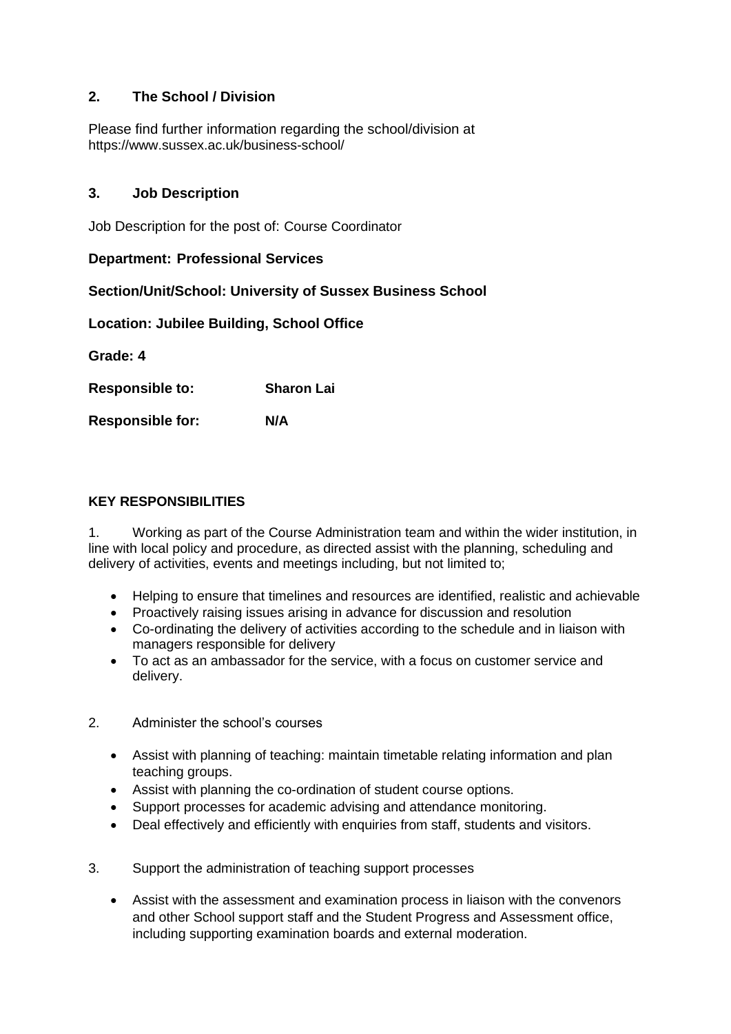# **2. The School / Division**

Please find further information regarding the school/division at https://www.sussex.ac.uk/business-school/

# **3. Job Description**

Job Description for the post of: Course Coordinator

### **Department: Professional Services**

# **Section/Unit/School: University of Sussex Business School**

**Location: Jubilee Building, School Office**

**Grade: 4**

**Responsible to: Sharon Lai**

**Responsible for: N/A**

#### **KEY RESPONSIBILITIES**

1. Working as part of the Course Administration team and within the wider institution, in line with local policy and procedure, as directed assist with the planning, scheduling and delivery of activities, events and meetings including, but not limited to;

- Helping to ensure that timelines and resources are identified, realistic and achievable
- Proactively raising issues arising in advance for discussion and resolution
- Co-ordinating the delivery of activities according to the schedule and in liaison with managers responsible for delivery
- To act as an ambassador for the service, with a focus on customer service and delivery.
- 2. Administer the school's courses
	- Assist with planning of teaching: maintain timetable relating information and plan teaching groups.
	- Assist with planning the co-ordination of student course options.
	- Support processes for academic advising and attendance monitoring.
	- Deal effectively and efficiently with enquiries from staff, students and visitors.
- 3. Support the administration of teaching support processes
	- Assist with the assessment and examination process in liaison with the convenors and other School support staff and the Student Progress and Assessment office, including supporting examination boards and external moderation.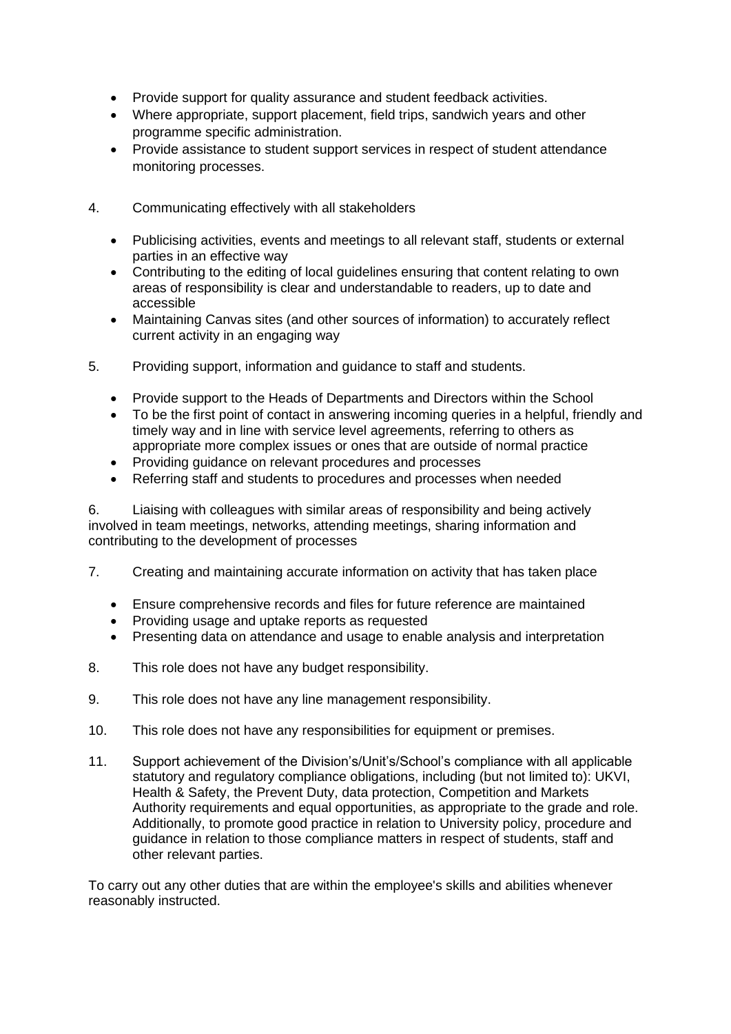- Provide support for quality assurance and student feedback activities.
- Where appropriate, support placement, field trips, sandwich years and other programme specific administration.
- Provide assistance to student support services in respect of student attendance monitoring processes.
- 4. Communicating effectively with all stakeholders
	- Publicising activities, events and meetings to all relevant staff, students or external parties in an effective way
	- Contributing to the editing of local guidelines ensuring that content relating to own areas of responsibility is clear and understandable to readers, up to date and accessible
	- Maintaining Canvas sites (and other sources of information) to accurately reflect current activity in an engaging way
- 5. Providing support, information and guidance to staff and students.
	- Provide support to the Heads of Departments and Directors within the School
	- To be the first point of contact in answering incoming queries in a helpful, friendly and timely way and in line with service level agreements, referring to others as appropriate more complex issues or ones that are outside of normal practice
	- Providing guidance on relevant procedures and processes
	- Referring staff and students to procedures and processes when needed

6. Liaising with colleagues with similar areas of responsibility and being actively involved in team meetings, networks, attending meetings, sharing information and contributing to the development of processes

- 7. Creating and maintaining accurate information on activity that has taken place
	- Ensure comprehensive records and files for future reference are maintained
	- Providing usage and uptake reports as requested
	- Presenting data on attendance and usage to enable analysis and interpretation
- 8. This role does not have any budget responsibility.
- 9. This role does not have any line management responsibility.
- 10. This role does not have any responsibilities for equipment or premises.
- 11. Support achievement of the Division's/Unit's/School's compliance with all applicable statutory and regulatory compliance obligations, including (but not limited to): UKVI, Health & Safety, the Prevent Duty, data protection, Competition and Markets Authority requirements and equal opportunities, as appropriate to the grade and role. Additionally, to promote good practice in relation to University policy, procedure and guidance in relation to those compliance matters in respect of students, staff and other relevant parties.

To carry out any other duties that are within the employee's skills and abilities whenever reasonably instructed.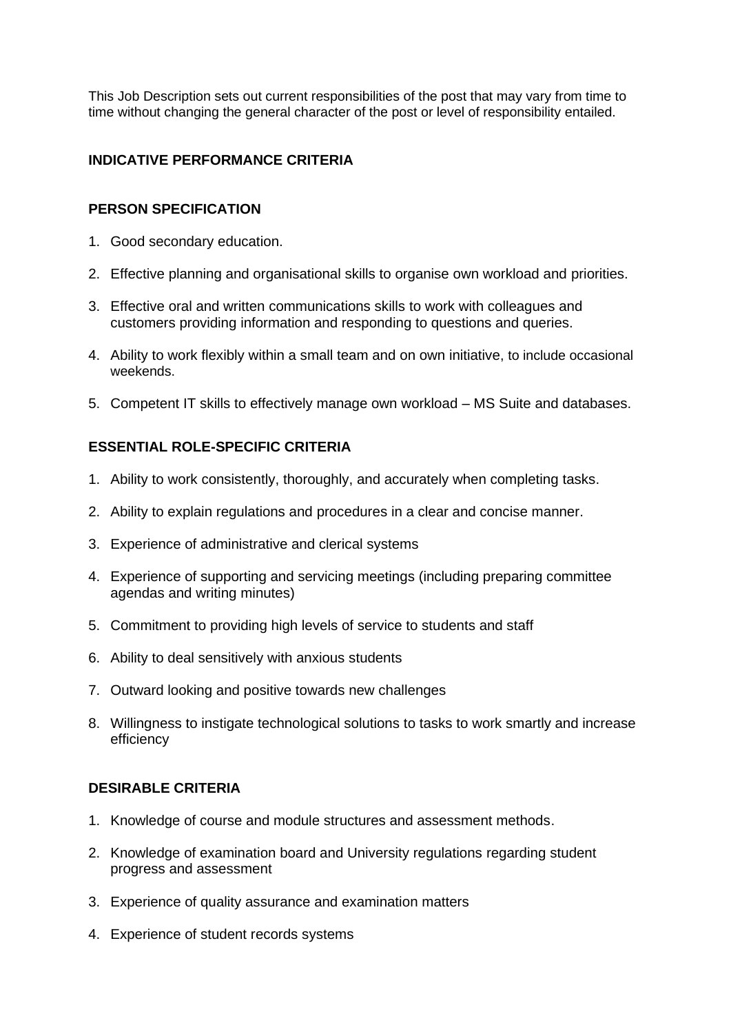This Job Description sets out current responsibilities of the post that may vary from time to time without changing the general character of the post or level of responsibility entailed.

# **INDICATIVE PERFORMANCE CRITERIA**

# **PERSON SPECIFICATION**

- 1. Good secondary education.
- 2. Effective planning and organisational skills to organise own workload and priorities.
- 3. Effective oral and written communications skills to work with colleagues and customers providing information and responding to questions and queries.
- 4. Ability to work flexibly within a small team and on own initiative, to include occasional weekends.
- 5. Competent IT skills to effectively manage own workload MS Suite and databases.

# **ESSENTIAL ROLE-SPECIFIC CRITERIA**

- 1. Ability to work consistently, thoroughly, and accurately when completing tasks.
- 2. Ability to explain regulations and procedures in a clear and concise manner.
- 3. Experience of administrative and clerical systems
- 4. Experience of supporting and servicing meetings (including preparing committee agendas and writing minutes)
- 5. Commitment to providing high levels of service to students and staff
- 6. Ability to deal sensitively with anxious students
- 7. Outward looking and positive towards new challenges
- 8. Willingness to instigate technological solutions to tasks to work smartly and increase efficiency

# **DESIRABLE CRITERIA**

- 1. Knowledge of course and module structures and assessment methods.
- 2. Knowledge of examination board and University regulations regarding student progress and assessment
- 3. Experience of quality assurance and examination matters
- 4. Experience of student records systems